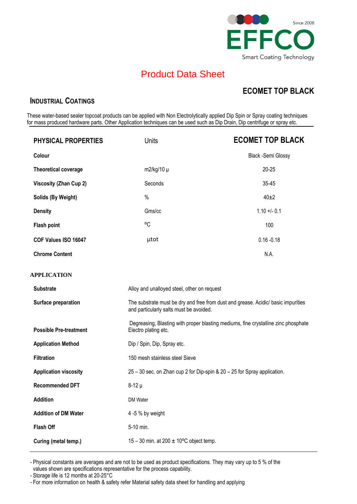

## Product Data Sheet

### **ECOMET TOP BLACK**

#### **INDUSTRIAL COATINGS**

These water-based sealer topcoat products can be applied with Non Electrolytically applied Dip Spin or Spray coating techniques for mass produced hardware parts. Other Application techniques can be used such as Dip Drain, Dip centrifuge or spray etc.

| <b>PHYSICAL PROPERTIES</b>    | <b>Units</b>                                                                                                                 | <b>ECOMET TOP BLACK</b>   |  |
|-------------------------------|------------------------------------------------------------------------------------------------------------------------------|---------------------------|--|
| Colour                        |                                                                                                                              | <b>Black -Semi Glossy</b> |  |
| <b>Theoretical coverage</b>   | $m2/kg/10 \mu$                                                                                                               | $20 - 25$                 |  |
| <b>Viscosity (Zhan Cup 2)</b> | Seconds                                                                                                                      | 35-45                     |  |
| Solids (By Weight)            | $\%$                                                                                                                         | $40\pm2$                  |  |
| <b>Density</b>                | Gms/cc                                                                                                                       | $1.10 + 0.1$              |  |
| <b>Flash point</b>            | °C                                                                                                                           | 100                       |  |
| COF Values ISO 16047          | µtot                                                                                                                         | $0.16 - 0.18$             |  |
| <b>Chrome Content</b>         |                                                                                                                              | N.A.                      |  |
| APPLICATION                   |                                                                                                                              |                           |  |
| <b>Substrate</b>              | Alloy and unalloyed steel, other on request                                                                                  |                           |  |
| Surface preparation           | The substrate must be dry and free from dust and grease. Acidic/ basic impurities<br>and particularly salts must be avoided. |                           |  |
| <b>Possible Pre-treatment</b> | Degreasing, Blasting with proper blasting mediums, fine crystalline zinc phosphate<br>Electro plating etc.                   |                           |  |
| <b>Application Method</b>     | Dip / Spin, Dip, Spray etc.                                                                                                  |                           |  |
| <b>Filtration</b>             | 150 mesh stainless steel Sieve                                                                                               |                           |  |
| <b>Application viscosity</b>  | 25 - 30 sec. on Zhan cup 2 for Dip-spin & 20 - 25 for Spray application.                                                     |                           |  |
| <b>Recommended DFT</b>        | $8-12 \mu$                                                                                                                   |                           |  |
| <b>Addition</b>               | DM Water                                                                                                                     |                           |  |
| <b>Addition of DM Water</b>   | 4 -5 % by weight                                                                                                             |                           |  |
| <b>Flash Off</b>              | 5-10 min.                                                                                                                    |                           |  |
| Curing (metal temp.)          | 15 – 30 min. at 200 $\pm$ 10°C object temp.                                                                                  |                           |  |

- Physical constants are averages and are not to be used as product specifications. They may vary up to 5 % of the values shown are specifications representative for the process capability.

- Storage life is 12 months at 20-25°C

- For more information on health & safety refer Material safety data sheet for handling and applying